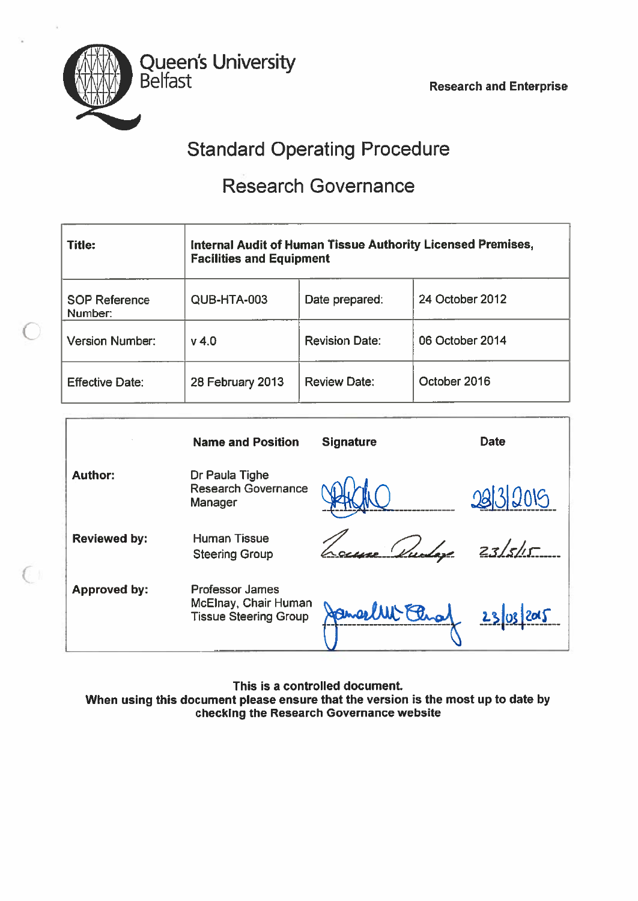Belfast Research and Enterprise



€.

Queen's University

# Standard Operating Procedure

# Research Governance

| <b>Title:</b>                   | <b>Facilities and Equipment</b> |                       | Internal Audit of Human Tissue Authority Licensed Premises, |
|---------------------------------|---------------------------------|-----------------------|-------------------------------------------------------------|
| <b>SOP Reference</b><br>Number: | QUB-HTA-003                     | Date prepared:        | 24 October 2012                                             |
| <b>Version Number:</b>          | $v$ 4.0                         | <b>Revision Date:</b> | 06 October 2014                                             |
| <b>Effective Date:</b>          | 28 February 2013                | <b>Review Date:</b>   | October 2016                                                |

|                     | <b>Name and Position</b>                                                       | <b>Signature</b> | <b>Date</b> |
|---------------------|--------------------------------------------------------------------------------|------------------|-------------|
| <b>Author:</b>      | Dr Paula Tighe<br><b>Research Governance</b><br>Manager                        |                  | 0213005     |
| <b>Reviewed by:</b> | <b>Human Tissue</b><br><b>Steering Group</b>                                   |                  | 23/5/15     |
| <b>Approved by:</b> | <b>Professor James</b><br>McElnay, Chair Human<br><b>Tissue Steering Group</b> |                  | 23          |

This is <sup>a</sup> controlled document When using this document please ensure that the version is the most up to date bychecking the Research Governance website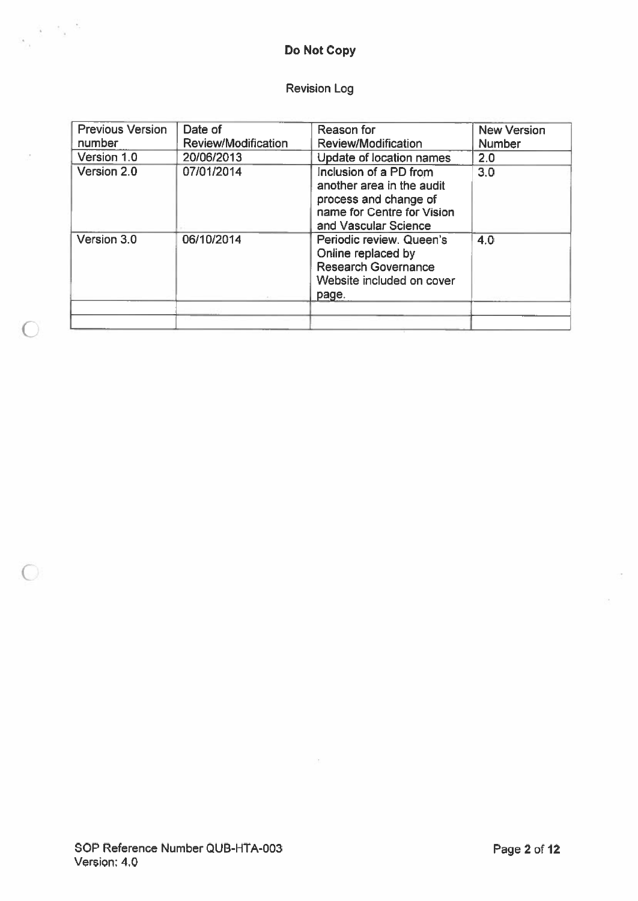## Do Not Copy

 $s_\alpha \in \mathbb{R}^{|\mathcal{S}|}$ 

 $\bigcirc$ 

 $\bigcirc$ 

### Revision Log

| <b>Previous Version</b> | Date of                    | Reason for                                                                                                                         | <b>New Version</b> |
|-------------------------|----------------------------|------------------------------------------------------------------------------------------------------------------------------------|--------------------|
| number                  | <b>Review/Modification</b> | <b>Review/Modification</b>                                                                                                         | <b>Number</b>      |
| Version 1.0             | 20/06/2013                 | Update of location names                                                                                                           | 2.0                |
| Version 2.0             | 07/01/2014                 | Inclusion of a PD from<br>another area in the audit<br>process and change of<br>name for Centre for Vision<br>and Vascular Science | 3.0                |
| Version 3.0             | 06/10/2014                 | Periodic review. Queen's<br>Online replaced by<br><b>Research Governance</b><br>Website included on cover<br>page.                 | 4.0                |
|                         |                            |                                                                                                                                    |                    |

 $\alpha$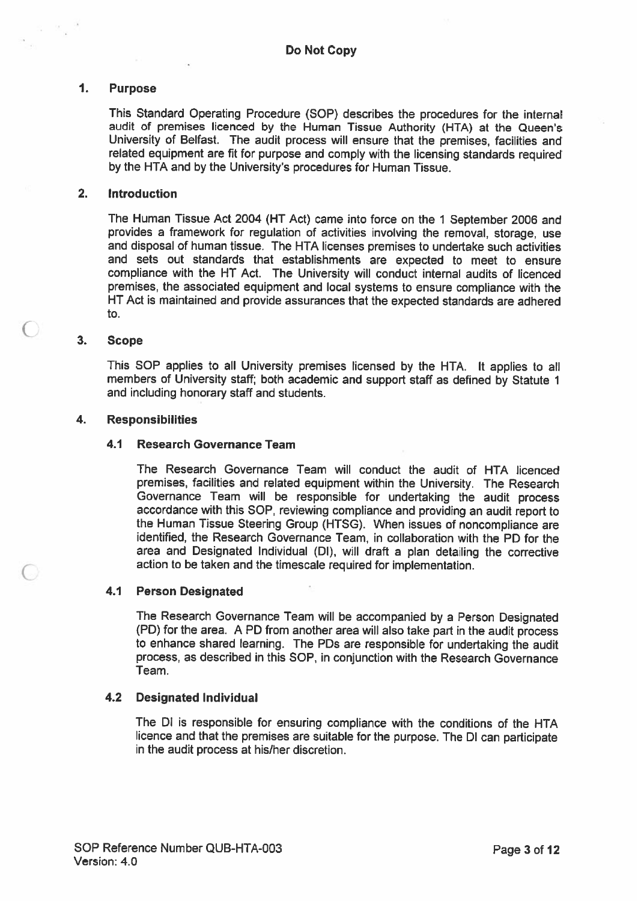#### $\mathbf{1}$ . Purpose

 $\mathcal{K}_{\frac{1}{2}}$ 

This Standard Operating Procedure (SOP) describes the procedures for the internal audit of premises licenced by the Human Tissue Authority (HTA) at the Queen's University of Belfast. The audit process will ensure that the premises, facilities and related equipment are fit for purpose and comply with the licensing standards required by the HTA and by the University's procedures for Human Tissue.

#### 2. Introduction

The Human Tissue Act 2004 (HT Act) came into force on the 1 September 2006 and provides <sup>a</sup> framework for regulation of activities involving the removal, storage, use and disposal of human tissue, The HTA licenses premises to undertake such activities and sets out standards that establishments are expected to meet to ensure compliance with the HT Act. The University will conduct internal audits of licenced premises, the associated equipment and local systems to ensure compliance with the HT Act is maintained and provide assurances that the expected standards are adhered to.

#### 3. Scope

 $\bigcap$ 

This SOP applies to all University premises licensed by the HTA. It applies to all members of University staff; both academic and suppor<sup>t</sup> staff as defined by Statute <sup>1</sup> and including honorary staff and students.

#### 4. Responsibilities

#### 4.1 Research Governance Team

The Research Governance Team will conduct the audit of HTA licenced premises, facilities and related equipment within the University. The Research Governance Team will be responsible for undertaking the audit process accordance with this SOP, reviewing compliance and providing an audit repor<sup>t</sup> to the Human Tissue Steering Group (HTSG). When issues of noncompliance are identified, the Research Governance Team, in collaboration with the PD for the area and Designated Individual (DI), will draft <sup>a</sup> <sup>p</sup>lan detailing the corrective action to be taken and the timescale required for implementation.

#### 4.1 Person Designated

The Research Governance Team will be accompanied by <sup>a</sup> Person Designated (PD) for the area. <sup>A</sup> PD from another area will also take par<sup>t</sup> in the audit process to enhance shared learning. The PDs are responsible for undertaking the audit process. as described in this SOP, in conjunction with the Research Governance Team,

#### 4.2 Designated Individual

The Dl is responsible for ensuring compliance with the conditions of the HTA licence and that the premises are suitable for the purpose. The Dl can participate in the audit process at his/her discretion.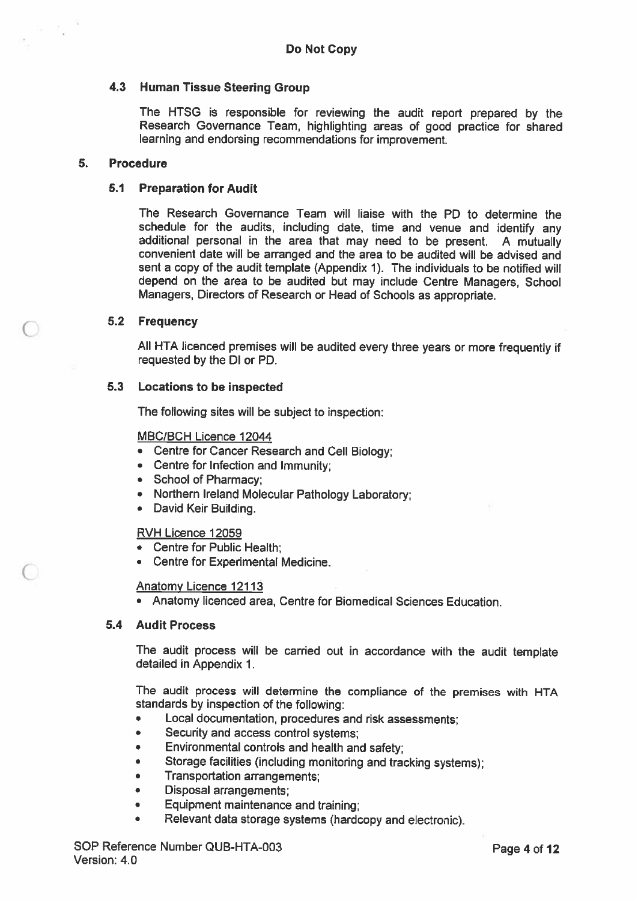#### 4.3 Human Tissue Steering Group

The HTSG is responsible for reviewing the audit report prepared by the Research Governance Team, highlighting areas of good practice for shared learning and endorsing recommendations for improvement.

#### 5. Procedure

#### 5.1 Preparation for Audit

The Research Governance Team will liaise with the PD to determine the schedule for the audits, including date, time and venue and identify any additional personal in the area that may need to be present. <sup>A</sup> mutually convenient date will be arranged and the area to be audited will be advised and sent <sup>a</sup> copy of the audit template (Appendix 1). The individuals to be notified will depend on the area to be audited but may include Centre Managers, School Managers, Directors of Research or Head of Schools as appropriate.

#### 5.2 Frequency

All HTA licenced premises will be audited every three years or more frequently if requested by the Dl or PD.

#### 5.3 Locations to be inspected

The following sites will be subject to inspection:

### MBC/BCH Licence 12044

- Centre for Cancer Research and Cell Biology;
- Centre for Infection and Immunity;
- School of Pharmacy;
- Northern Ireland Molecular Pathology Laboratory;
- David Keir Building.

#### RVH Licence 12059

- •Centre for Public Health;
- Centre for Experimental Medicine.

#### Anatomy Licence 12113

• Anatomy licenced area, Centre for Biomedical Sciences Education.

#### 5.4 Audit Process

The audit process will be carried out in accordance with the audit template detailed in Appendix 1.

The audit process will determine the compliance of the premises with HTA standards by inspection of the following:

- •Local documentation, procedures and risk assessments;
- •Security and access control systems;
- •Environmental controls and health and safety;
- •Storage facilities (including monitoring and tracking systems);
- •Transportation arrangements;
- •Disposal arrangements;
- •Equipment maintenance and training;
- •Relevant data storage systems (hardcopy and electronic).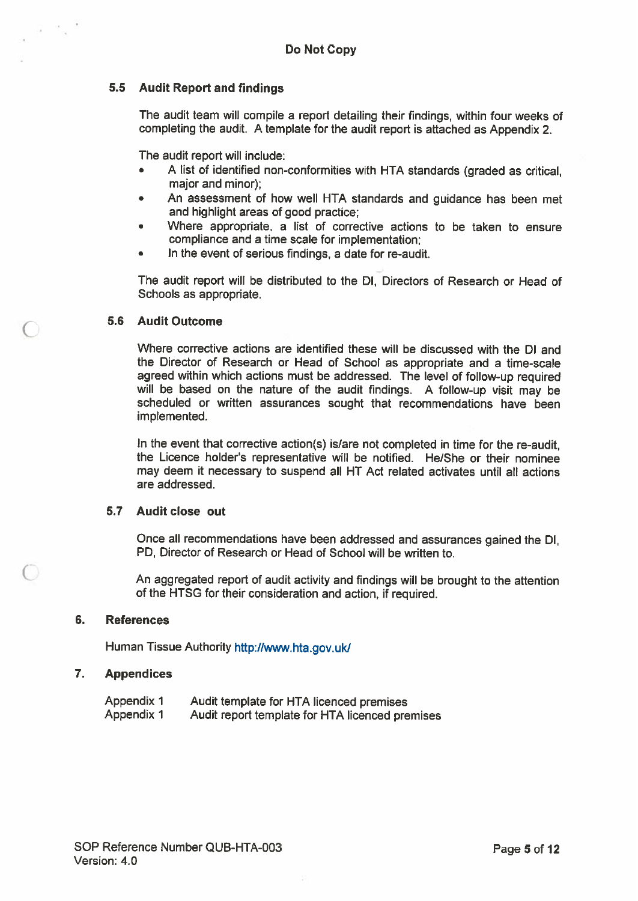### 5.5 Audit Report and findings

The audit team will compile <sup>a</sup> repor<sup>t</sup> detailing their findings, within four weeks of completing the audit. <sup>A</sup> template for the audit repor<sup>t</sup> is attached as Appendix 2.

The audit repor<sup>t</sup> will include:

- • <sup>A</sup> list of identified non-conformities with HTA standards (graded as critical, major and minor);
- • An assessment of how well HTA standards and guidance has been met and highlight areas of good practice;
- • Where appropriate, <sup>a</sup> list of corrective actions to be taken to ensure compliance and <sup>a</sup> time scale for implementation;
- In the event of serious findings, <sup>a</sup> date for re-audit.

The audit repor<sup>t</sup> will be distributed to the Dl, Directors of Research or Head of Schools as appropriate.

#### 5.6 Audit Outcome

Where corrective actions are identified these will be discussed with the Dl and the Director of Research or Head of School as appropriate and <sup>a</sup> time-scale agree<sup>d</sup> within which actions must be addressed. The level of follow-up required will be based on the nature of the audit findings. <sup>A</sup> follow-up visit may be scheduled or written assurances sought that recommendations have been implemented.

In the event that corrective action(s) is/are not completed in time for the re-audit, the Licence holder's representative will be notified. He/She or their nominee may deem it necessary to suspend all HT Act related activates until all actions are addressed.

#### 5.7 Audit close out

Once all recommendations have been addressed and assurances gained the Dl, PD, Director of Research or Head of School will be written to.

An aggregated repor<sup>t</sup> of audit activity and findings will be brought to the attention of the HTSG for their consideration and action, if required.

#### 6. References

Human Tissue Authority http://www.hta.gov.uk/

#### 7. Appendices

| <b>Appendix 1</b> | Audit template for HTA licenced premises        |
|-------------------|-------------------------------------------------|
| Appendix 1        | Audit report template for HTA licenced premises |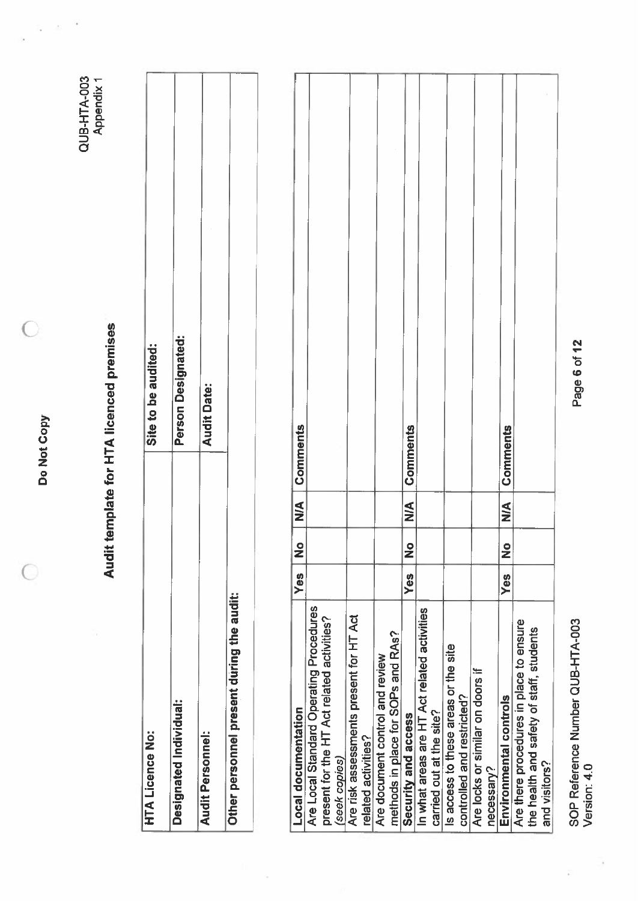Do Not Copy Do Not Copy

 $\overline{O}$ 

 $\overline{C}$ 

QUB-HTA-003<br>Appendix 1 Q U B-HTA-003 Appendix 1

 $\frac{1}{\sqrt{N}}$  $\frac{1}{2}$ 

ş

Audit template for HTA licenced premises Audit template for HTA licenced premises

| <b>HTA Licence No:</b>                    | Site to be audited: |
|-------------------------------------------|---------------------|
| Designated Individual:                    | Person Designated:  |
| <b>Audit Personnel:</b>                   | <b>Audit Date:</b>  |
| Other personnel present during the audit: |                     |
|                                           |                     |

 $\bar{\mathcal{P}}$ 

| <b>Local documentation</b>                  | Yes        | $\bullet$<br>∠               | V<br>N<br>Z | Comments |
|---------------------------------------------|------------|------------------------------|-------------|----------|
| Are Local Standard Operating Procedures     |            |                              |             |          |
| present for the HT Act related activities?  |            |                              |             |          |
| (seek copies)                               |            |                              |             |          |
| Are risk assessments present for HT Act     |            |                              |             |          |
| related activities?                         |            |                              |             |          |
| Are document control and review             |            |                              |             |          |
| methods in place for SOPs and RAs?          |            |                              |             |          |
| Security and access                         | Yes        | $\overline{\mathbf{Q}}$<br>z | ⋚           | Comments |
| In what areas are HT Act related activities |            |                              |             |          |
| carried out at the site?                    |            |                              |             |          |
| Is access to these areas or the site        |            |                              |             |          |
| controlled and restricted?                  |            |                              |             |          |
| Are locks or similar on doors if            |            |                              |             |          |
| necessary?                                  |            |                              |             |          |
| Environmental controls                      | <b>Yes</b> | $\bullet$<br>Z               | $\leq$      | Comments |
| Are there procedures in place to ensure     |            |                              |             |          |
| the health and safety of staff, students    |            |                              |             |          |
| and visitors?                               |            |                              |             |          |
|                                             |            |                              |             |          |

SOP Reference Number QUB-HTA-003<br>Version: 4.0 SOP Reference Number QUB-HTA-003 Version: 4.0

ĵ.

Page 6 of 12 Page 6 of 12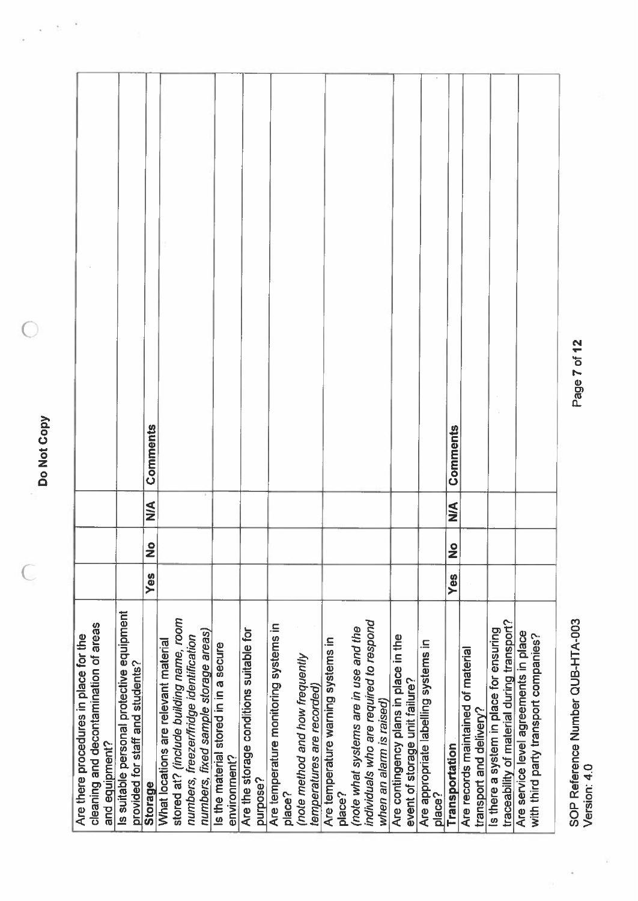Do Not Copy Do Not Copy

 $\frac{1}{2}$  .

 $\hat{\vec{y}}$ 

 $\begin{bmatrix} 1 & 1 \\ 1 & 1 \end{bmatrix}$ 

 $\overline{C}$ 

 $\bigcirc$ 

| cleaning and decontamination of areas<br>Are there procedures in place for the<br>and equipment? |     |                |        |          |  |
|--------------------------------------------------------------------------------------------------|-----|----------------|--------|----------|--|
| Is suitable personal protective equipment<br>provided for staff and students?                    |     |                |        |          |  |
| <b>Storage</b>                                                                                   | Yes | $\bullet$<br>Ž | $\leq$ | Comments |  |
| What locations are relevant material                                                             |     |                |        |          |  |
| stored at? (include building name, room                                                          |     |                |        |          |  |
| numbers, fixed sample storage areas)<br>numbers, freezer/fridge identification                   |     |                |        |          |  |
| Is the material stored in in a secure                                                            |     |                |        |          |  |
| environment?                                                                                     |     |                |        |          |  |
| Are the storage conditions suitable for                                                          |     |                |        |          |  |
| purpose?                                                                                         |     |                |        |          |  |
| Are temperature monitoring systems in<br>place?                                                  |     |                |        |          |  |
| (note method and how frequently                                                                  |     |                |        |          |  |
| temperatures are recorded)                                                                       |     |                |        |          |  |
| Are temperature warning systems in                                                               |     |                |        |          |  |
| place?                                                                                           |     |                |        |          |  |
| (note what systems are in use and the                                                            |     |                |        |          |  |
| individuals who are required to respond                                                          |     |                |        |          |  |
| when an alamn is raised)                                                                         |     |                |        |          |  |
| Are contingency plans in place in the<br>event of storage unit failure?                          |     |                |        |          |  |
| Are appropriate labelling systems in                                                             |     |                |        |          |  |
| place?                                                                                           |     |                |        |          |  |
| Transportation                                                                                   | Yes | $\frac{1}{2}$  | $\leq$ | Comments |  |
| Are records maintained of material                                                               |     |                |        |          |  |
| transport and delivery?                                                                          |     |                |        |          |  |
| is there a system in place for ensuring                                                          |     |                |        |          |  |
| traceability of material during transport?                                                       |     |                |        |          |  |
| Are service level agreements in place                                                            |     |                |        |          |  |
| with third party transport companies?                                                            |     |                |        |          |  |
|                                                                                                  |     |                |        |          |  |

SOP Reference Number QUB-HTA-003 Page 7 of 12 SOP Reference Number QUB-HTA-003<br>Version: 4.0 Version: 4.0

î

 $\frac{1}{2}$ 

Page 7 of 12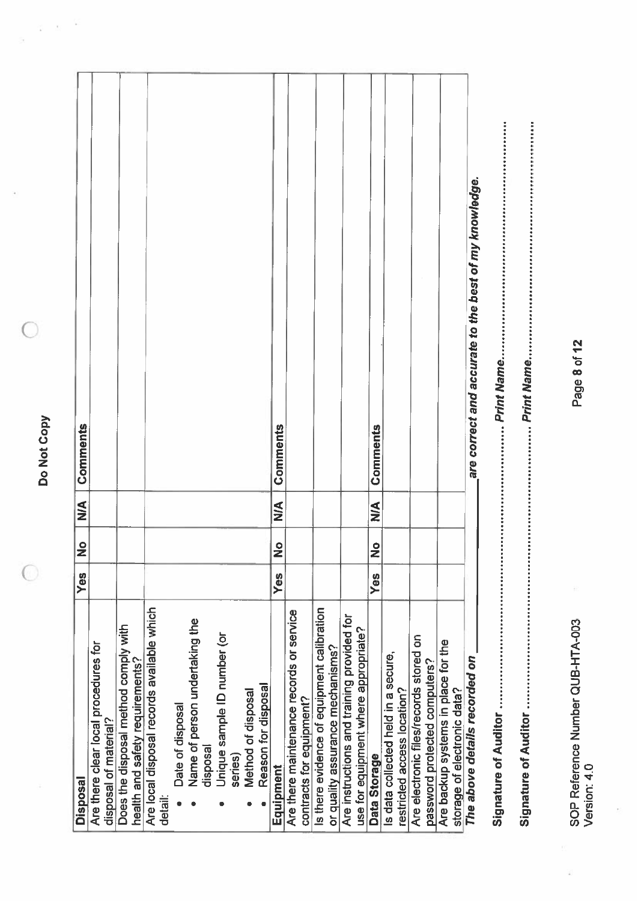Do Not Copy Do Not Copy

 $\overline{O}$ 

 $\bigcirc$ 

 $\sigma \cdot s^{-\nabla}$ 

 $\frac{1}{\sqrt{2}}$ 

| <b>Disposal</b>                                                         | Yes | $\bullet$<br>Ž | $\leq$ | Comments                                              |
|-------------------------------------------------------------------------|-----|----------------|--------|-------------------------------------------------------|
| Are there clear local procedures for                                    |     |                |        |                                                       |
| disposal of material?                                                   |     |                |        |                                                       |
| Does the disposal method comply with<br>health and safety requirements? |     |                |        |                                                       |
|                                                                         |     |                |        |                                                       |
| Are local disposal records available which<br>detail:                   |     |                |        |                                                       |
| Date of disposal                                                        |     |                |        |                                                       |
| Name of person undertaking the                                          |     |                |        |                                                       |
| disposal                                                                |     |                |        |                                                       |
| Unique sample ID number (or                                             |     |                |        |                                                       |
| series)                                                                 |     |                |        |                                                       |
| Method of disposal                                                      |     |                |        |                                                       |
| Reason for disposal                                                     |     |                |        |                                                       |
| Equipment                                                               | Yes | $\bullet$<br>Ž | $\leq$ | Comments                                              |
| Are there maintenance records or service                                |     |                |        |                                                       |
| contracts for equipment?                                                |     |                |        |                                                       |
| Is there evidence of equipment calibration                              |     |                |        |                                                       |
| or quality assurance mechanisms?                                        |     |                |        |                                                       |
| Are instructions and training provided for                              |     |                |        |                                                       |
| use for equipment where appropriate?                                    |     |                |        |                                                       |
| Data Storage                                                            | Yes | $\frac{1}{2}$  | $\leq$ | Comments                                              |
| Is data collected held in a secure,                                     |     |                |        |                                                       |
| restricted access location?                                             |     |                |        |                                                       |
| Are electronic files/records stored on                                  |     |                |        |                                                       |
| password protected computers?                                           |     |                |        |                                                       |
| Are backup systems in place for the                                     |     |                |        |                                                       |
| storage of electronic data?                                             |     |                |        |                                                       |
| The above details recorded on                                           |     |                |        | are correct and accurate to the best of my knowledge. |
|                                                                         |     |                |        |                                                       |
|                                                                         |     |                |        |                                                       |

SOP Reference Number QUB-HTA-003<br>Version: 4.0 SOP Reference Number QUB-HTA-003 Version: 4.0

í,

Signature of Auditor Print Name

Page 8 of 12 Page 8 of 12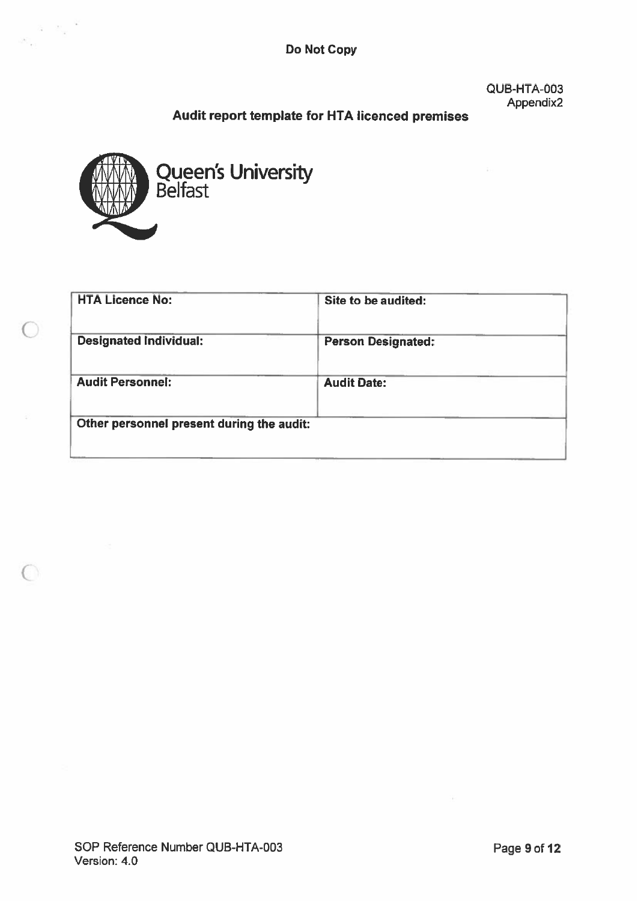Do Not Copy

**QUB-HTA-003** Appendix2

# Audit report template for HTA licenced premises



 $\label{eq:2.1} \begin{array}{cc} 0 & \mathbb{R}_g \end{array} \xrightarrow{\mathbb{Q}}$  where

 $\bigcap$ 

 $\bigcap$ 

| <b>HTA Licence No:</b>                    | Site to be audited:       |
|-------------------------------------------|---------------------------|
| <b>Designated Individual:</b>             | <b>Person Designated:</b> |
| <b>Audit Personnel:</b>                   | <b>Audit Date:</b>        |
| Other personnel present during the audit: |                           |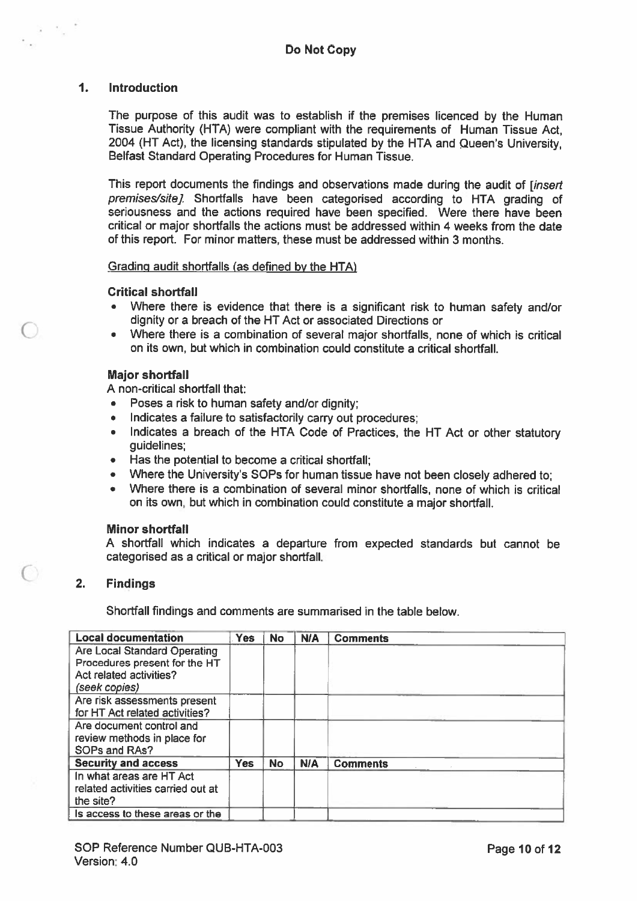#### 1. Introduction

 $\chi = 0_{\rm in}$ 

The purpose of this audit was to establish if the premises licenced by the Human Tissue Authority (HTA) were compliant with the requirements of Human Tissue Act, 2004 (HT Act), the licensing standards stipulated by the HTA and Queen's University, Belfast Standard Operating Procedures for Human Tissue.

This report documents the findings and observations made during the audit of *linsert* premises/site]. Shortfalls have been categorised according to HTA grading of seriousness and the actions required have been specified. Were there have been critical or major shortfalls the actions must be addressed within 4 weeks from the date of this report. For minor matters, these must be addressed within 3 months.

#### Grading audit shortfalls (as defined by the HTA)

#### Critical shortfall

- Where there is evidence that there is <sup>a</sup> significant risk to human safety and/or dignity or <sup>a</sup> breach of the HT Act or associated Directions or
- • Where there is <sup>a</sup> combination of several major shortfalls, none of which is critical on its own, but which in combination could constitute <sup>a</sup> critical shortfall.

#### Major shortfall

A non-critical shortfall that:

- •Poses <sup>a</sup> risk to human safety and/or dignity;
- •Indicates <sup>a</sup> failure to satisfactorily carry out procedures;
- Indicates <sup>a</sup> breach of the HTA Code of Practices, the HT Act or other statutory guidelines;
- Has the potential to become <sup>a</sup> critical shortfall;
- Where the University's SOPs for human tissue have not been closely adhered to;
- Where there is <sup>a</sup> combination of several minor shortfalls, none of which is critical on its own, but which in combination could constitute <sup>a</sup> major shortfall.

#### Minor shortfall

A shortfall which indicates <sup>a</sup> departure from expected standards but cannot be categorised as <sup>a</sup> critical or major shortfall.

#### 2. Findings

◯

Shortfall findings and comments are summarised in the table below.

| <b>Local documentation</b>        | <b>Yes</b> | <b>No</b> | <b>N/A</b> | <b>Comments</b> |
|-----------------------------------|------------|-----------|------------|-----------------|
| Are Local Standard Operating      |            |           |            |                 |
| Procedures present for the HT     |            |           |            |                 |
| Act related activities?           |            |           |            |                 |
| (seek copies)                     |            |           |            |                 |
| Are risk assessments present      |            |           |            |                 |
| for HT Act related activities?    |            |           |            |                 |
| Are document control and          |            |           |            |                 |
| review methods in place for       |            |           |            |                 |
| SOPs and RAs?                     |            |           |            |                 |
| <b>Security and access</b>        | <b>Yes</b> | <b>No</b> | <b>N/A</b> | <b>Comments</b> |
| In what areas are HT Act          |            |           |            |                 |
| related activities carried out at |            |           |            |                 |
| the site?                         |            |           |            |                 |
| Is access to these areas or the   |            |           |            |                 |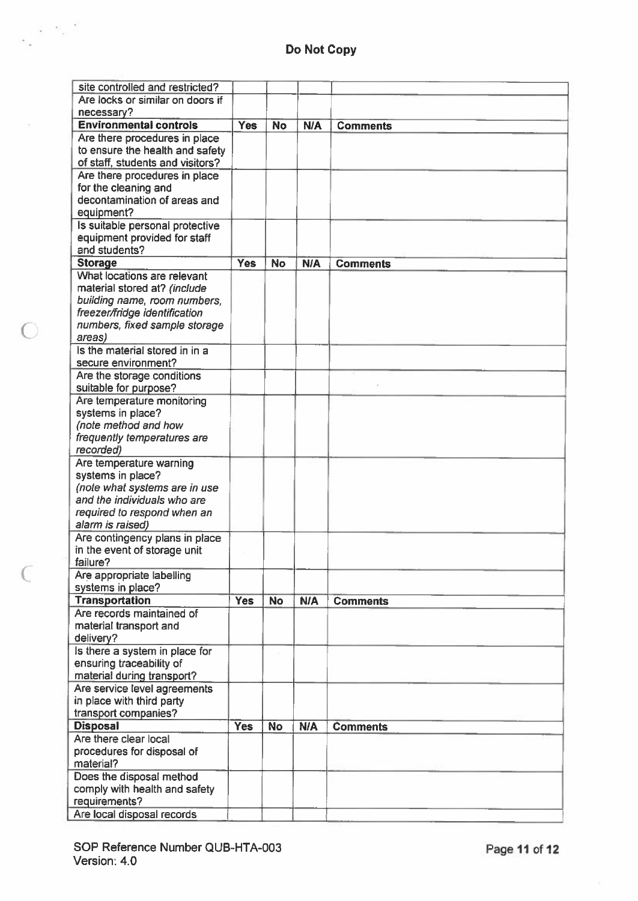$\label{eq:4} \frac{1}{\sigma_{\rm eff}}\frac{m_{\rm B}^2}{m_{\rm B}^2}\frac{m_{\rm B}^2}{m_{\rm B}^2}$ 

 $\bigcap$ 

| site controlled and restricted?  |            |           |            |                 |
|----------------------------------|------------|-----------|------------|-----------------|
| Are locks or similar on doors if |            |           |            |                 |
| necessary?                       |            |           |            |                 |
| <b>Environmental controls</b>    | <b>Yes</b> | <b>No</b> | <b>N/A</b> | <b>Comments</b> |
| Are there procedures in place    |            |           |            |                 |
| to ensure the health and safety  |            |           |            |                 |
| of staff, students and visitors? |            |           |            |                 |
| Are there procedures in place    |            |           |            |                 |
| for the cleaning and             |            |           |            |                 |
| decontamination of areas and     |            |           |            |                 |
|                                  |            |           |            |                 |
| equipment?                       |            |           |            |                 |
| Is suitable personal protective  |            |           |            |                 |
| equipment provided for staff     |            |           |            |                 |
| and students?                    |            |           |            |                 |
| <b>Storage</b>                   | <b>Yes</b> | <b>No</b> | N/A        | <b>Comments</b> |
| What locations are relevant      |            |           |            |                 |
| material stored at? (include     |            |           |            |                 |
| building name, room numbers,     |            |           |            |                 |
| freezer/fridge identification    |            |           |            |                 |
| numbers, fixed sample storage    |            |           |            |                 |
| areas)                           |            |           |            |                 |
| Is the material stored in in a   |            |           |            |                 |
| secure environment?              |            |           |            |                 |
| Are the storage conditions       |            |           |            |                 |
| suitable for purpose?            |            |           |            |                 |
| Are temperature monitoring       |            |           |            |                 |
| systems in place?                |            |           |            |                 |
| (note method and how             |            |           |            |                 |
| frequently temperatures are      |            |           |            |                 |
| recorded)                        |            |           |            |                 |
|                                  |            |           |            |                 |
| Are temperature warning          |            |           |            |                 |
| systems in place?                |            |           |            |                 |
| (note what systems are in use    |            |           |            |                 |
| and the individuals who are      |            |           |            |                 |
| required to respond when an      |            |           |            |                 |
| alarm is raised)                 |            |           |            |                 |
| Are contingency plans in place   |            |           |            |                 |
| in the event of storage unit     |            |           |            |                 |
| failure?                         |            |           |            |                 |
| Are appropriate labelling        |            |           |            |                 |
| systems in place?                |            |           |            |                 |
| <b>Transportation</b>            | <b>Yes</b> | <b>No</b> | <b>N/A</b> | <b>Comments</b> |
| Are records maintained of        |            |           |            |                 |
| material transport and           |            |           |            |                 |
| delivery?                        |            |           |            |                 |
| Is there a system in place for   |            |           |            |                 |
| ensuring traceability of         |            |           |            |                 |
| material during transport?       |            |           |            |                 |
| Are service level agreements     |            |           |            |                 |
|                                  |            |           |            |                 |
| in place with third party        |            |           |            |                 |
| transport companies?             |            |           |            |                 |
| <b>Disposal</b>                  | <b>Yes</b> | <b>No</b> | <b>N/A</b> | <b>Comments</b> |
| Are there clear local            |            |           |            |                 |
| procedures for disposal of       |            |           |            |                 |
| material?                        |            |           |            |                 |
| Does the disposal method         |            |           |            |                 |
| comply with health and safety    |            |           |            |                 |
| requirements?                    |            |           |            |                 |
| Are local disposal records       |            |           |            |                 |